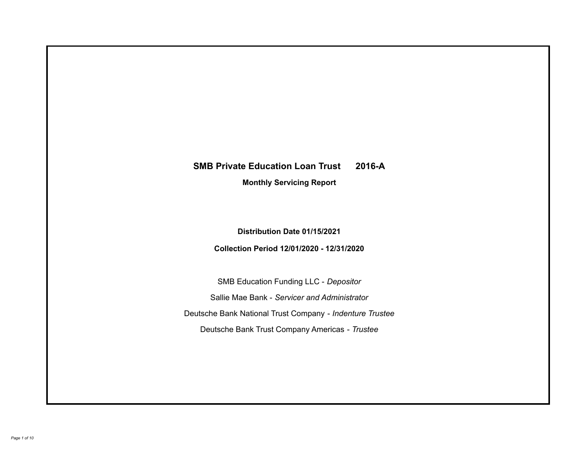# **SMB Private Education Loan Trust 2016-A Monthly Servicing Report**

**Distribution Date 01/15/2021**

**Collection Period 12/01/2020 - 12/31/2020**

SMB Education Funding LLC - *Depositor* Sallie Mae Bank - *Servicer and Administrator* Deutsche Bank National Trust Company - *Indenture Trustee* Deutsche Bank Trust Company Americas - *Trustee*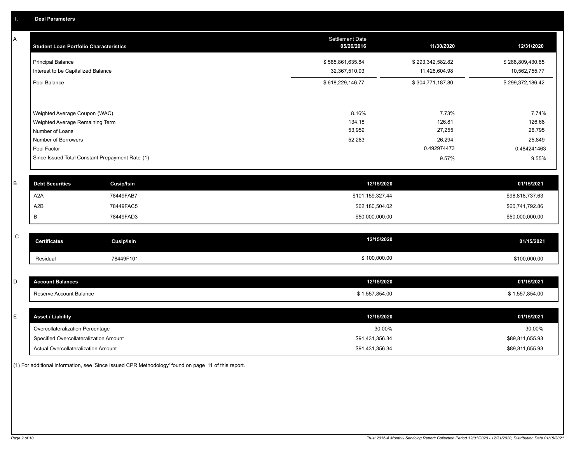| A           | <b>Student Loan Portfolio Characteristics</b> |                                                 | <b>Settlement Date</b><br>05/26/2016 | 11/30/2020       | 12/31/2020       |
|-------------|-----------------------------------------------|-------------------------------------------------|--------------------------------------|------------------|------------------|
|             | <b>Principal Balance</b>                      |                                                 | \$585,861,635.84                     | \$293,342,582.82 | \$288,809,430.65 |
|             | Interest to be Capitalized Balance            |                                                 | 32,367,510.93                        | 11,428,604.98    | 10,562,755.77    |
|             | Pool Balance                                  |                                                 | \$618,229,146.77                     | \$304,771,187.80 | \$299,372,186.42 |
|             | Weighted Average Coupon (WAC)                 |                                                 | 8.16%                                | 7.73%            | 7.74%            |
|             | Weighted Average Remaining Term               |                                                 | 134.18                               | 126.81           | 126.68           |
|             | Number of Loans                               |                                                 | 53,959                               | 27,255           | 26,795           |
|             | Number of Borrowers                           |                                                 | 52,283                               | 26,294           | 25,849           |
|             | Pool Factor                                   |                                                 |                                      | 0.492974473      | 0.484241463      |
|             |                                               | Since Issued Total Constant Prepayment Rate (1) |                                      | 9.57%            | 9.55%            |
| B           | <b>Debt Securities</b>                        | <b>Cusip/Isin</b>                               | 12/15/2020                           |                  | 01/15/2021       |
|             | A <sub>2</sub> A                              | 78449FAB7                                       | \$101,159,327.44                     |                  | \$98,818,737.63  |
|             | A2B                                           | 78449FAC5                                       | \$62,180,504.02                      |                  | \$60,741,792.86  |
|             | В                                             | 78449FAD3                                       | \$50,000,000.00                      |                  | \$50,000,000.00  |
| $\mathsf C$ | <b>Certificates</b>                           | <b>Cusip/Isin</b>                               | 12/15/2020                           |                  | 01/15/2021       |
|             |                                               |                                                 |                                      |                  |                  |
|             | Residual                                      | 78449F101                                       | \$100,000.00                         |                  | \$100,000.00     |
|             |                                               |                                                 |                                      |                  |                  |
| D           | <b>Account Balances</b>                       |                                                 | 12/15/2020                           |                  | 01/15/2021       |
|             | Reserve Account Balance                       |                                                 | \$1,557,854.00                       |                  | \$1,557,854.00   |
| E           | <b>Asset / Liability</b>                      |                                                 | 12/15/2020                           |                  | 01/15/2021       |
|             | Overcollateralization Percentage              |                                                 | 30.00%                               |                  | 30.00%           |
|             | Specified Overcollateralization Amount        |                                                 | \$91,431,356.34                      |                  | \$89,811,655.93  |

(1) For additional information, see 'Since Issued CPR Methodology' found on page 11 of this report.

Actual Overcollateralization Amount \$91,431,356.34

\$89,811,655.93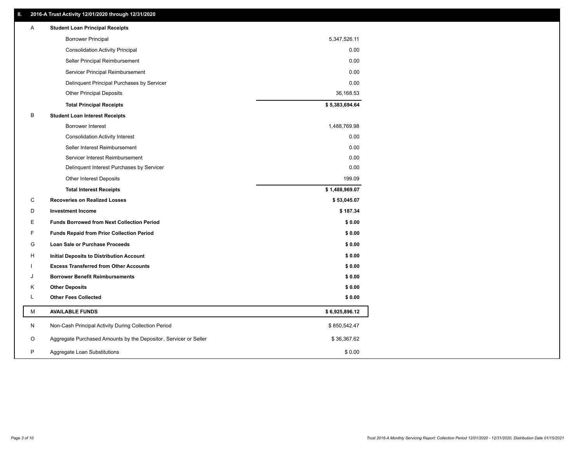# **II. 2016-A Trust Activity 12/01/2020 through 12/31/2020**

| <b>Borrower Principal</b><br>5,347,526.11<br>0.00<br><b>Consolidation Activity Principal</b><br>Seller Principal Reimbursement<br>0.00<br>Servicer Principal Reimbursement<br>0.00<br>Delinquent Principal Purchases by Servicer<br>0.00<br>36,168.53<br><b>Other Principal Deposits</b><br>\$5,383,694.64<br><b>Total Principal Receipts</b><br>B<br><b>Student Loan Interest Receipts</b><br>1,488,769.98<br><b>Borrower Interest</b><br>0.00<br><b>Consolidation Activity Interest</b><br>Seller Interest Reimbursement<br>0.00<br>0.00<br>Servicer Interest Reimbursement<br>0.00<br>Delinquent Interest Purchases by Servicer<br>199.09<br>Other Interest Deposits<br>\$1,488,969.07<br><b>Total Interest Receipts</b><br>C<br><b>Recoveries on Realized Losses</b><br>\$53,045.07<br>\$187.34<br>D<br><b>Investment Income</b><br>Е<br><b>Funds Borrowed from Next Collection Period</b><br>\$0.00<br>F<br>\$0.00<br><b>Funds Repaid from Prior Collection Period</b><br>G<br>\$0.00<br>Loan Sale or Purchase Proceeds<br>\$0.00<br>н<br>Initial Deposits to Distribution Account<br><b>Excess Transferred from Other Accounts</b><br>\$0.00<br>\$0.00<br>J<br><b>Borrower Benefit Reimbursements</b><br><b>Other Deposits</b><br>\$0.00<br>Κ<br>L<br><b>Other Fees Collected</b><br>\$0.00<br>М<br><b>AVAILABLE FUNDS</b><br>\$6,925,896.12<br>N<br>Non-Cash Principal Activity During Collection Period<br>\$850,542.47<br>Aggregate Purchased Amounts by the Depositor, Servicer or Seller<br>\$36,367.62<br>O<br>P<br>\$0.00<br>Aggregate Loan Substitutions | Α | <b>Student Loan Principal Receipts</b> |  |
|------------------------------------------------------------------------------------------------------------------------------------------------------------------------------------------------------------------------------------------------------------------------------------------------------------------------------------------------------------------------------------------------------------------------------------------------------------------------------------------------------------------------------------------------------------------------------------------------------------------------------------------------------------------------------------------------------------------------------------------------------------------------------------------------------------------------------------------------------------------------------------------------------------------------------------------------------------------------------------------------------------------------------------------------------------------------------------------------------------------------------------------------------------------------------------------------------------------------------------------------------------------------------------------------------------------------------------------------------------------------------------------------------------------------------------------------------------------------------------------------------------------------------------------------------------------------|---|----------------------------------------|--|
|                                                                                                                                                                                                                                                                                                                                                                                                                                                                                                                                                                                                                                                                                                                                                                                                                                                                                                                                                                                                                                                                                                                                                                                                                                                                                                                                                                                                                                                                                                                                                                        |   |                                        |  |
|                                                                                                                                                                                                                                                                                                                                                                                                                                                                                                                                                                                                                                                                                                                                                                                                                                                                                                                                                                                                                                                                                                                                                                                                                                                                                                                                                                                                                                                                                                                                                                        |   |                                        |  |
|                                                                                                                                                                                                                                                                                                                                                                                                                                                                                                                                                                                                                                                                                                                                                                                                                                                                                                                                                                                                                                                                                                                                                                                                                                                                                                                                                                                                                                                                                                                                                                        |   |                                        |  |
|                                                                                                                                                                                                                                                                                                                                                                                                                                                                                                                                                                                                                                                                                                                                                                                                                                                                                                                                                                                                                                                                                                                                                                                                                                                                                                                                                                                                                                                                                                                                                                        |   |                                        |  |
|                                                                                                                                                                                                                                                                                                                                                                                                                                                                                                                                                                                                                                                                                                                                                                                                                                                                                                                                                                                                                                                                                                                                                                                                                                                                                                                                                                                                                                                                                                                                                                        |   |                                        |  |
|                                                                                                                                                                                                                                                                                                                                                                                                                                                                                                                                                                                                                                                                                                                                                                                                                                                                                                                                                                                                                                                                                                                                                                                                                                                                                                                                                                                                                                                                                                                                                                        |   |                                        |  |
|                                                                                                                                                                                                                                                                                                                                                                                                                                                                                                                                                                                                                                                                                                                                                                                                                                                                                                                                                                                                                                                                                                                                                                                                                                                                                                                                                                                                                                                                                                                                                                        |   |                                        |  |
|                                                                                                                                                                                                                                                                                                                                                                                                                                                                                                                                                                                                                                                                                                                                                                                                                                                                                                                                                                                                                                                                                                                                                                                                                                                                                                                                                                                                                                                                                                                                                                        |   |                                        |  |
|                                                                                                                                                                                                                                                                                                                                                                                                                                                                                                                                                                                                                                                                                                                                                                                                                                                                                                                                                                                                                                                                                                                                                                                                                                                                                                                                                                                                                                                                                                                                                                        |   |                                        |  |
|                                                                                                                                                                                                                                                                                                                                                                                                                                                                                                                                                                                                                                                                                                                                                                                                                                                                                                                                                                                                                                                                                                                                                                                                                                                                                                                                                                                                                                                                                                                                                                        |   |                                        |  |
|                                                                                                                                                                                                                                                                                                                                                                                                                                                                                                                                                                                                                                                                                                                                                                                                                                                                                                                                                                                                                                                                                                                                                                                                                                                                                                                                                                                                                                                                                                                                                                        |   |                                        |  |
|                                                                                                                                                                                                                                                                                                                                                                                                                                                                                                                                                                                                                                                                                                                                                                                                                                                                                                                                                                                                                                                                                                                                                                                                                                                                                                                                                                                                                                                                                                                                                                        |   |                                        |  |
|                                                                                                                                                                                                                                                                                                                                                                                                                                                                                                                                                                                                                                                                                                                                                                                                                                                                                                                                                                                                                                                                                                                                                                                                                                                                                                                                                                                                                                                                                                                                                                        |   |                                        |  |
|                                                                                                                                                                                                                                                                                                                                                                                                                                                                                                                                                                                                                                                                                                                                                                                                                                                                                                                                                                                                                                                                                                                                                                                                                                                                                                                                                                                                                                                                                                                                                                        |   |                                        |  |
|                                                                                                                                                                                                                                                                                                                                                                                                                                                                                                                                                                                                                                                                                                                                                                                                                                                                                                                                                                                                                                                                                                                                                                                                                                                                                                                                                                                                                                                                                                                                                                        |   |                                        |  |
|                                                                                                                                                                                                                                                                                                                                                                                                                                                                                                                                                                                                                                                                                                                                                                                                                                                                                                                                                                                                                                                                                                                                                                                                                                                                                                                                                                                                                                                                                                                                                                        |   |                                        |  |
|                                                                                                                                                                                                                                                                                                                                                                                                                                                                                                                                                                                                                                                                                                                                                                                                                                                                                                                                                                                                                                                                                                                                                                                                                                                                                                                                                                                                                                                                                                                                                                        |   |                                        |  |
|                                                                                                                                                                                                                                                                                                                                                                                                                                                                                                                                                                                                                                                                                                                                                                                                                                                                                                                                                                                                                                                                                                                                                                                                                                                                                                                                                                                                                                                                                                                                                                        |   |                                        |  |
|                                                                                                                                                                                                                                                                                                                                                                                                                                                                                                                                                                                                                                                                                                                                                                                                                                                                                                                                                                                                                                                                                                                                                                                                                                                                                                                                                                                                                                                                                                                                                                        |   |                                        |  |
|                                                                                                                                                                                                                                                                                                                                                                                                                                                                                                                                                                                                                                                                                                                                                                                                                                                                                                                                                                                                                                                                                                                                                                                                                                                                                                                                                                                                                                                                                                                                                                        |   |                                        |  |
|                                                                                                                                                                                                                                                                                                                                                                                                                                                                                                                                                                                                                                                                                                                                                                                                                                                                                                                                                                                                                                                                                                                                                                                                                                                                                                                                                                                                                                                                                                                                                                        |   |                                        |  |
|                                                                                                                                                                                                                                                                                                                                                                                                                                                                                                                                                                                                                                                                                                                                                                                                                                                                                                                                                                                                                                                                                                                                                                                                                                                                                                                                                                                                                                                                                                                                                                        |   |                                        |  |
|                                                                                                                                                                                                                                                                                                                                                                                                                                                                                                                                                                                                                                                                                                                                                                                                                                                                                                                                                                                                                                                                                                                                                                                                                                                                                                                                                                                                                                                                                                                                                                        |   |                                        |  |
|                                                                                                                                                                                                                                                                                                                                                                                                                                                                                                                                                                                                                                                                                                                                                                                                                                                                                                                                                                                                                                                                                                                                                                                                                                                                                                                                                                                                                                                                                                                                                                        |   |                                        |  |
|                                                                                                                                                                                                                                                                                                                                                                                                                                                                                                                                                                                                                                                                                                                                                                                                                                                                                                                                                                                                                                                                                                                                                                                                                                                                                                                                                                                                                                                                                                                                                                        |   |                                        |  |
|                                                                                                                                                                                                                                                                                                                                                                                                                                                                                                                                                                                                                                                                                                                                                                                                                                                                                                                                                                                                                                                                                                                                                                                                                                                                                                                                                                                                                                                                                                                                                                        |   |                                        |  |
|                                                                                                                                                                                                                                                                                                                                                                                                                                                                                                                                                                                                                                                                                                                                                                                                                                                                                                                                                                                                                                                                                                                                                                                                                                                                                                                                                                                                                                                                                                                                                                        |   |                                        |  |
|                                                                                                                                                                                                                                                                                                                                                                                                                                                                                                                                                                                                                                                                                                                                                                                                                                                                                                                                                                                                                                                                                                                                                                                                                                                                                                                                                                                                                                                                                                                                                                        |   |                                        |  |
|                                                                                                                                                                                                                                                                                                                                                                                                                                                                                                                                                                                                                                                                                                                                                                                                                                                                                                                                                                                                                                                                                                                                                                                                                                                                                                                                                                                                                                                                                                                                                                        |   |                                        |  |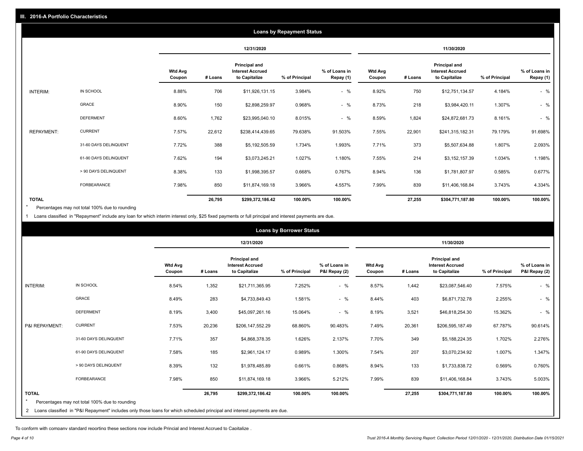|                   |                       |                          |            |                                                                  | <b>Loans by Repayment Status</b> |                            |                   |         |                                                                  |                |                            |
|-------------------|-----------------------|--------------------------|------------|------------------------------------------------------------------|----------------------------------|----------------------------|-------------------|---------|------------------------------------------------------------------|----------------|----------------------------|
|                   |                       |                          | 12/31/2020 |                                                                  |                                  | 11/30/2020                 |                   |         |                                                                  |                |                            |
|                   |                       | <b>Wtd Avg</b><br>Coupon | # Loans    | <b>Principal and</b><br><b>Interest Accrued</b><br>to Capitalize | % of Principal                   | % of Loans in<br>Repay (1) | Wtd Avg<br>Coupon | # Loans | <b>Principal and</b><br><b>Interest Accrued</b><br>to Capitalize | % of Principal | % of Loans in<br>Repay (1) |
| INTERIM:          | IN SCHOOL             | 8.88%                    | 706        | \$11,926,131.15                                                  | 3.984%                           | $-$ %                      | 8.92%             | 750     | \$12,751,134.57                                                  | 4.184%         | $-$ %                      |
|                   | <b>GRACE</b>          | 8.90%                    | 150        | \$2,898,259.97                                                   | 0.968%                           | $-$ %                      | 8.73%             | 218     | \$3,984,420.11                                                   | 1.307%         | $-$ %                      |
|                   | <b>DEFERMENT</b>      | 8.60%                    | 1,762      | \$23,995,040.10                                                  | 8.015%                           | $-$ %                      | 8.59%             | 1,824   | \$24,872,681.73                                                  | 8.161%         | $-$ %                      |
| <b>REPAYMENT:</b> | <b>CURRENT</b>        | 7.57%                    | 22,612     | \$238,414,439.65                                                 | 79.638%                          | 91.503%                    | 7.55%             | 22,901  | \$241,315,182.31                                                 | 79.179%        | 91.698%                    |
|                   | 31-60 DAYS DELINQUENT | 7.72%                    | 388        | \$5,192,505.59                                                   | 1.734%                           | 1.993%                     | 7.71%             | 373     | \$5,507,634.88                                                   | 1.807%         | 2.093%                     |
|                   | 61-90 DAYS DELINQUENT | 7.62%                    | 194        | \$3,073,245.21                                                   | 1.027%                           | 1.180%                     | 7.55%             | 214     | \$3,152,157.39                                                   | 1.034%         | 1.198%                     |
|                   | > 90 DAYS DELINQUENT  | 8.38%                    | 133        | \$1,998,395.57                                                   | 0.668%                           | 0.767%                     | 8.94%             | 136     | \$1,781,807.97                                                   | 0.585%         | 0.677%                     |
|                   | <b>FORBEARANCE</b>    | 7.98%                    | 850        | \$11,874,169.18                                                  | 3.966%                           | 4.557%                     | 7.99%             | 839     | \$11,406,168.84                                                  | 3.743%         | 4.334%                     |
| <b>TOTAL</b>      |                       |                          | 26,795     | \$299,372,186.42                                                 | 100.00%                          | 100.00%                    |                   | 27,255  | \$304,771,187.80                                                 | 100.00%        | 100.00%                    |

Percentages may not total 100% due to rounding \*

1 Loans classified in "Repayment" include any loan for which interim interest only, \$25 fixed payments or full principal and interest payments are due.

| <b>Loans by Borrower Status</b> |                                                                                                                              |                          |         |                                                           |                |                                |                          |         |                                                           |                |                                |
|---------------------------------|------------------------------------------------------------------------------------------------------------------------------|--------------------------|---------|-----------------------------------------------------------|----------------|--------------------------------|--------------------------|---------|-----------------------------------------------------------|----------------|--------------------------------|
|                                 |                                                                                                                              |                          |         | 12/31/2020                                                |                |                                | 11/30/2020               |         |                                                           |                |                                |
|                                 |                                                                                                                              | <b>Wtd Avg</b><br>Coupon | # Loans | Principal and<br><b>Interest Accrued</b><br>to Capitalize | % of Principal | % of Loans in<br>P&I Repay (2) | <b>Wtd Avg</b><br>Coupon | # Loans | Principal and<br><b>Interest Accrued</b><br>to Capitalize | % of Principal | % of Loans in<br>P&I Repay (2) |
| <b>INTERIM:</b>                 | IN SCHOOL                                                                                                                    | 8.54%                    | 1,352   | \$21,711,365.95                                           | 7.252%         | $-$ %                          | 8.57%                    | 1,442   | \$23,087,546.40                                           | 7.575%         | $-$ %                          |
|                                 | <b>GRACE</b>                                                                                                                 | 8.49%                    | 283     | \$4,733,849.43                                            | 1.581%         | $-$ %                          | 8.44%                    | 403     | \$6,871,732.78                                            | 2.255%         | $-$ %                          |
|                                 | <b>DEFERMENT</b>                                                                                                             | 8.19%                    | 3,400   | \$45,097,261.16                                           | 15.064%        | $-$ %                          | 8.19%                    | 3,521   | \$46,818,254.30                                           | 15.362%        | $-$ %                          |
| P&I REPAYMENT:                  | <b>CURRENT</b>                                                                                                               | 7.53%                    | 20,236  | \$206,147,552.29                                          | 68.860%        | 90.483%                        | 7.49%                    | 20,361  | \$206,595,187.49                                          | 67.787%        | 90.614%                        |
|                                 | 31-60 DAYS DELINQUENT                                                                                                        | 7.71%                    | 357     | \$4,868,378.35                                            | 1.626%         | 2.137%                         | 7.70%                    | 349     | \$5,188,224.35                                            | 1.702%         | 2.276%                         |
|                                 | 61-90 DAYS DELINQUENT                                                                                                        | 7.58%                    | 185     | \$2,961,124.17                                            | 0.989%         | 1.300%                         | 7.54%                    | 207     | \$3,070,234.92                                            | 1.007%         | 1.347%                         |
|                                 | > 90 DAYS DELINQUENT                                                                                                         | 8.39%                    | 132     | \$1,978,485.89                                            | 0.661%         | 0.868%                         | 8.94%                    | 133     | \$1,733,838.72                                            | 0.569%         | 0.760%                         |
|                                 | <b>FORBEARANCE</b>                                                                                                           | 7.98%                    | 850     | \$11,874,169.18                                           | 3.966%         | 5.212%                         | 7.99%                    | 839     | \$11,406,168.84                                           | 3.743%         | 5.003%                         |
| <b>TOTAL</b>                    | Percentages may not total 100% due to rounding                                                                               |                          | 26,795  | \$299,372,186.42                                          | 100.00%        | 100.00%                        |                          | 27,255  | \$304,771,187.80                                          | 100.00%        | 100.00%                        |
|                                 | 2 Loans classified in "P&I Repayment" includes only those loans for which scheduled principal and interest payments are due. |                          |         |                                                           |                |                                |                          |         |                                                           |                |                                |

To conform with company standard reporting these sections now include Princial and Interest Accrued to Capitalize .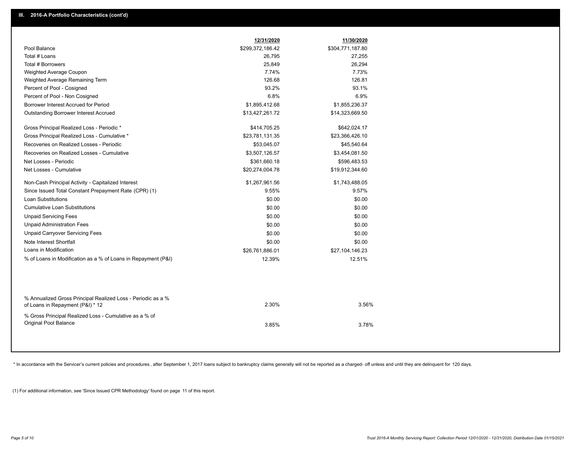|                                                                                                  | 12/31/2020       | 11/30/2020       |  |
|--------------------------------------------------------------------------------------------------|------------------|------------------|--|
| Pool Balance                                                                                     | \$299,372,186.42 | \$304,771,187.80 |  |
| Total # Loans                                                                                    | 26,795           | 27,255           |  |
| Total # Borrowers                                                                                | 25,849           | 26,294           |  |
| Weighted Average Coupon                                                                          | 7.74%            | 7.73%            |  |
| Weighted Average Remaining Term                                                                  | 126.68           | 126.81           |  |
| Percent of Pool - Cosigned                                                                       | 93.2%            | 93.1%            |  |
| Percent of Pool - Non Cosigned                                                                   | 6.8%             | 6.9%             |  |
| Borrower Interest Accrued for Period                                                             | \$1,895,412.68   | \$1,855,236.37   |  |
| Outstanding Borrower Interest Accrued                                                            | \$13,427,261.72  | \$14,323,669.50  |  |
| Gross Principal Realized Loss - Periodic *                                                       | \$414,705.25     | \$642,024.17     |  |
| Gross Principal Realized Loss - Cumulative *                                                     | \$23,781,131.35  | \$23,366,426.10  |  |
| Recoveries on Realized Losses - Periodic                                                         | \$53,045.07      | \$45,540.64      |  |
| Recoveries on Realized Losses - Cumulative                                                       | \$3,507,126.57   | \$3,454,081.50   |  |
| Net Losses - Periodic                                                                            | \$361,660.18     | \$596,483.53     |  |
| Net Losses - Cumulative                                                                          | \$20,274,004.78  | \$19,912,344.60  |  |
| Non-Cash Principal Activity - Capitalized Interest                                               | \$1,267,961.56   | \$1,743,488.05   |  |
| Since Issued Total Constant Prepayment Rate (CPR) (1)                                            | 9.55%            | 9.57%            |  |
| Loan Substitutions                                                                               | \$0.00           | \$0.00           |  |
| <b>Cumulative Loan Substitutions</b>                                                             | \$0.00           | \$0.00           |  |
| <b>Unpaid Servicing Fees</b>                                                                     | \$0.00           | \$0.00           |  |
| <b>Unpaid Administration Fees</b>                                                                | \$0.00           | \$0.00           |  |
| <b>Unpaid Carryover Servicing Fees</b>                                                           | \$0.00           | \$0.00           |  |
| Note Interest Shortfall                                                                          | \$0.00           | \$0.00           |  |
| Loans in Modification                                                                            | \$26,761,886.01  | \$27,104,146.23  |  |
| % of Loans in Modification as a % of Loans in Repayment (P&I)                                    | 12.39%           | 12.51%           |  |
|                                                                                                  |                  |                  |  |
| % Annualized Gross Principal Realized Loss - Periodic as a %<br>of Loans in Repayment (P&I) * 12 | 2.30%            | 3.56%            |  |
| % Gross Principal Realized Loss - Cumulative as a % of<br>Original Pool Balance                  | 3.85%            | 3.78%            |  |

\* In accordance with the Servicer's current policies and procedures, after September 1, 2017 loans subject to bankruptcy claims generally will not be reported as a charged- off unless and until they are delinquent for 120

(1) For additional information, see 'Since Issued CPR Methodology' found on page 11 of this report.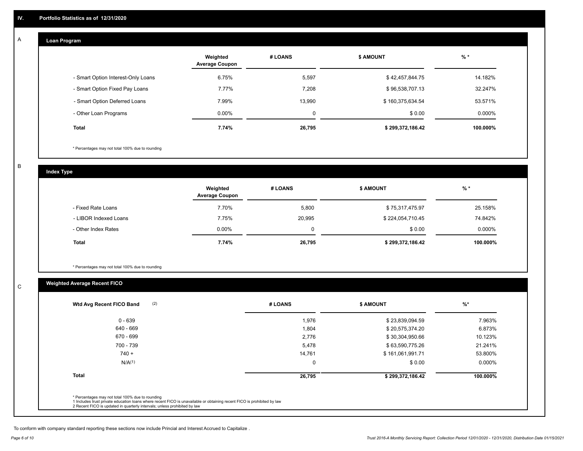#### **Loan Program**  A

|                                    | Weighted<br><b>Average Coupon</b> | # LOANS | <b>\$ AMOUNT</b> | $%$ *    |
|------------------------------------|-----------------------------------|---------|------------------|----------|
| - Smart Option Interest-Only Loans | 6.75%                             | 5,597   | \$42,457,844.75  | 14.182%  |
| - Smart Option Fixed Pay Loans     | 7.77%                             | 7.208   | \$96,538,707.13  | 32.247%  |
| - Smart Option Deferred Loans      | 7.99%                             | 13.990  | \$160,375,634.54 | 53.571%  |
| - Other Loan Programs              | $0.00\%$                          | 0       | \$0.00           | 0.000%   |
| <b>Total</b>                       | 7.74%                             | 26,795  | \$299,372,186.42 | 100.000% |

\* Percentages may not total 100% due to rounding

B

C

**Index Type**

|                       | Weighted<br><b>Average Coupon</b> | # LOANS | <b>\$ AMOUNT</b> | $%$ *    |
|-----------------------|-----------------------------------|---------|------------------|----------|
| - Fixed Rate Loans    | 7.70%                             | 5,800   | \$75,317,475.97  | 25.158%  |
| - LIBOR Indexed Loans | 7.75%                             | 20,995  | \$224,054,710.45 | 74.842%  |
| - Other Index Rates   | $0.00\%$                          | 0       | \$0.00           | 0.000%   |
| Total                 | 7.74%                             | 26,795  | \$299,372,186.42 | 100.000% |

\* Percentages may not total 100% due to rounding

# **Weighted Average Recent FICO**

| 1,976<br>1,804<br>2,776<br>5,478 | \$23,839,094.59<br>\$20,575,374.20<br>\$30,304,950.66<br>\$63,590,775.26 | 7.963%<br>6.873%<br>10.123% |
|----------------------------------|--------------------------------------------------------------------------|-----------------------------|
|                                  |                                                                          |                             |
|                                  |                                                                          |                             |
|                                  |                                                                          |                             |
|                                  |                                                                          | 21.241%                     |
| 14,761                           | \$161,061,991.71                                                         | 53.800%                     |
| $\mathbf 0$                      | \$0.00                                                                   | 0.000%                      |
| 26,795                           | \$299,372,186.42                                                         | 100.000%                    |
|                                  |                                                                          |                             |

To conform with company standard reporting these sections now include Princial and Interest Accrued to Capitalize .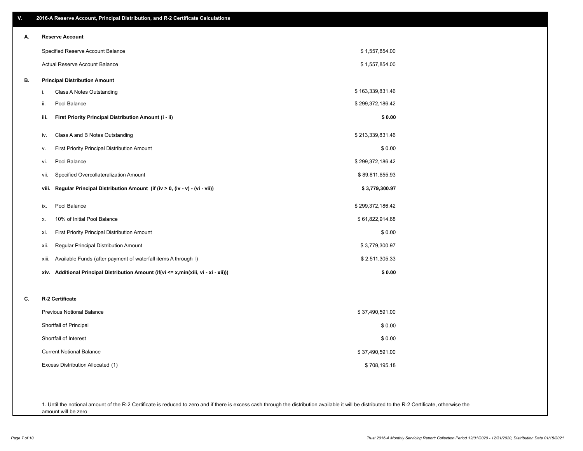| V. | 2016-A Reserve Account, Principal Distribution, and R-2 Certificate Calculations        |                  |
|----|-----------------------------------------------------------------------------------------|------------------|
| А. | <b>Reserve Account</b>                                                                  |                  |
|    | Specified Reserve Account Balance                                                       | \$1,557,854.00   |
|    | Actual Reserve Account Balance                                                          | \$1,557,854.00   |
| В. | <b>Principal Distribution Amount</b>                                                    |                  |
|    | Class A Notes Outstanding<br>i.                                                         | \$163,339,831.46 |
|    | Pool Balance<br>ii.                                                                     | \$299,372,186.42 |
|    | First Priority Principal Distribution Amount (i - ii)<br>iii.                           | \$0.00           |
|    | Class A and B Notes Outstanding<br>iv.                                                  | \$213,339,831.46 |
|    | First Priority Principal Distribution Amount<br>v.                                      | \$0.00           |
|    | Pool Balance<br>vi.                                                                     | \$299,372,186.42 |
|    | Specified Overcollateralization Amount<br>vii.                                          | \$89,811,655.93  |
|    | Regular Principal Distribution Amount (if (iv > 0, (iv - v) - (vi - vii))<br>viii.      | \$3,779,300.97   |
|    | Pool Balance<br>ix.                                                                     | \$299,372,186.42 |
|    | 10% of Initial Pool Balance<br>х.                                                       | \$61,822,914.68  |
|    | First Priority Principal Distribution Amount<br>xi.                                     | \$0.00           |
|    | Regular Principal Distribution Amount<br>xii.                                           | \$3,779,300.97   |
|    | Available Funds (after payment of waterfall items A through I)<br>xiii.                 | \$2,511,305.33   |
|    | Additional Principal Distribution Amount (if(vi <= x,min(xiii, vi - xi - xii)))<br>xiv. | \$0.00           |
| C. | R-2 Certificate                                                                         |                  |
|    | <b>Previous Notional Balance</b>                                                        | \$37,490,591.00  |
|    | Shortfall of Principal                                                                  | \$0.00           |
|    | Shortfall of Interest                                                                   | \$0.00           |
|    | <b>Current Notional Balance</b>                                                         | \$37,490,591.00  |
|    | Excess Distribution Allocated (1)                                                       | \$708,195.18     |
|    |                                                                                         |                  |
|    |                                                                                         |                  |

1. Until the notional amount of the R-2 Certificate is reduced to zero and if there is excess cash through the distribution available it will be distributed to the R-2 Certificate, otherwise the amount will be zero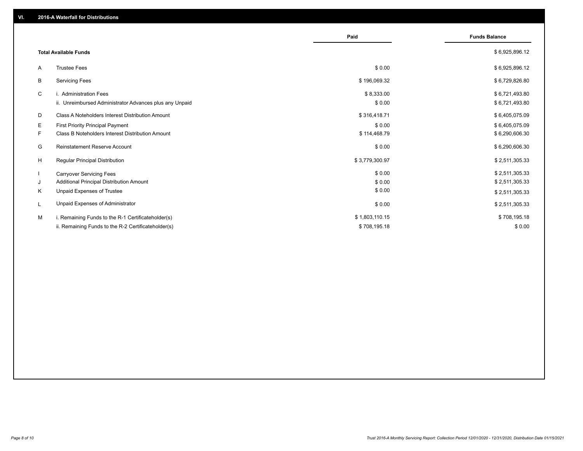|              |                                                         | Paid           | <b>Funds Balance</b> |
|--------------|---------------------------------------------------------|----------------|----------------------|
|              | <b>Total Available Funds</b>                            |                | \$6,925,896.12       |
| A            | <b>Trustee Fees</b>                                     | \$0.00         | \$6,925,896.12       |
| В            | <b>Servicing Fees</b>                                   | \$196,069.32   | \$6,729,826.80       |
| C            | i. Administration Fees                                  | \$8,333.00     | \$6,721,493.80       |
|              | ii. Unreimbursed Administrator Advances plus any Unpaid | \$0.00         | \$6,721,493.80       |
| D            | Class A Noteholders Interest Distribution Amount        | \$316,418.71   | \$6,405,075.09       |
| Е            | <b>First Priority Principal Payment</b>                 | \$0.00         | \$6,405,075.09       |
| F.           | <b>Class B Noteholders Interest Distribution Amount</b> | \$114,468.79   | \$6,290,606.30       |
| G            | Reinstatement Reserve Account                           | \$0.00         | \$6,290,606.30       |
| H            | <b>Regular Principal Distribution</b>                   | \$3,779,300.97 | \$2,511,305.33       |
| $\mathbf{I}$ | <b>Carryover Servicing Fees</b>                         | \$0.00         | \$2,511,305.33       |
| J            | Additional Principal Distribution Amount                | \$0.00         | \$2,511,305.33       |
| Κ            | Unpaid Expenses of Trustee                              | \$0.00         | \$2,511,305.33       |
| L            | Unpaid Expenses of Administrator                        | \$0.00         | \$2,511,305.33       |
| М            | i. Remaining Funds to the R-1 Certificateholder(s)      | \$1,803,110.15 | \$708,195.18         |
|              | ii. Remaining Funds to the R-2 Certificateholder(s)     | \$708,195.18   | \$0.00               |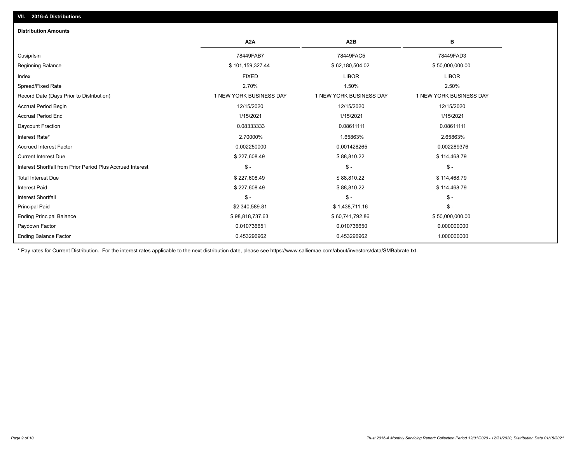| <b>Distribution Amounts</b>                                |                         |                         |                         |
|------------------------------------------------------------|-------------------------|-------------------------|-------------------------|
|                                                            | A <sub>2</sub> A        | A <sub>2</sub> B        | в                       |
| Cusip/Isin                                                 | 78449FAB7               | 78449FAC5               | 78449FAD3               |
| Beginning Balance                                          | \$101,159,327.44        | \$62,180,504.02         | \$50,000,000.00         |
| Index                                                      | <b>FIXED</b>            | <b>LIBOR</b>            | <b>LIBOR</b>            |
| Spread/Fixed Rate                                          | 2.70%                   | 1.50%                   | 2.50%                   |
| Record Date (Days Prior to Distribution)                   | 1 NEW YORK BUSINESS DAY | 1 NEW YORK BUSINESS DAY | 1 NEW YORK BUSINESS DAY |
| <b>Accrual Period Begin</b>                                | 12/15/2020              | 12/15/2020              | 12/15/2020              |
| <b>Accrual Period End</b>                                  | 1/15/2021               | 1/15/2021               | 1/15/2021               |
| Daycount Fraction                                          | 0.08333333              | 0.08611111              | 0.08611111              |
| Interest Rate*                                             | 2.70000%                | 1.65863%                | 2.65863%                |
| <b>Accrued Interest Factor</b>                             | 0.002250000             | 0.001428265             | 0.002289376             |
| <b>Current Interest Due</b>                                | \$227,608.49            | \$88,810.22             | \$114,468.79            |
| Interest Shortfall from Prior Period Plus Accrued Interest | $\frac{1}{2}$           | $\frac{1}{2}$           | $\mathcal{S}$ -         |
| <b>Total Interest Due</b>                                  | \$227,608.49            | \$88,810.22             | \$114,468.79            |
| <b>Interest Paid</b>                                       | \$227,608.49            | \$88,810.22             | \$114,468.79            |
| <b>Interest Shortfall</b>                                  | $$ -$                   | \$-                     | $$ -$                   |
| <b>Principal Paid</b>                                      | \$2,340,589.81          | \$1,438,711.16          | $$ -$                   |
| <b>Ending Principal Balance</b>                            | \$98,818,737.63         | \$60,741,792.86         | \$50,000,000.00         |
| Paydown Factor                                             | 0.010736651             | 0.010736650             | 0.000000000             |
| <b>Ending Balance Factor</b>                               | 0.453296962             | 0.453296962             | 1.000000000             |

\* Pay rates for Current Distribution. For the interest rates applicable to the next distribution date, please see https://www.salliemae.com/about/investors/data/SMBabrate.txt.

**VII. 2016-A Distributions**